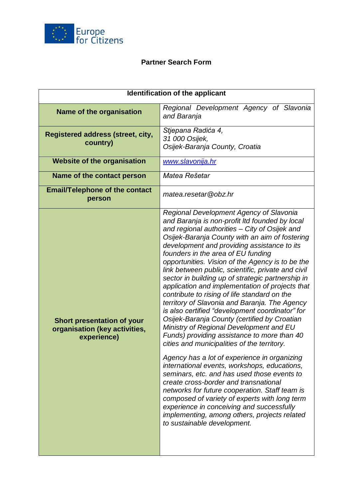

## **Partner Search Form**

| Identification of the applicant                                                   |                                                                                                                                                                                                                                                                                                                                                                                                                                                                                                                                                                                                                                                                                                                                                                                                                                                                                                                                                                                                                                                                                                                                                                                                                                                                         |
|-----------------------------------------------------------------------------------|-------------------------------------------------------------------------------------------------------------------------------------------------------------------------------------------------------------------------------------------------------------------------------------------------------------------------------------------------------------------------------------------------------------------------------------------------------------------------------------------------------------------------------------------------------------------------------------------------------------------------------------------------------------------------------------------------------------------------------------------------------------------------------------------------------------------------------------------------------------------------------------------------------------------------------------------------------------------------------------------------------------------------------------------------------------------------------------------------------------------------------------------------------------------------------------------------------------------------------------------------------------------------|
| <b>Name of the organisation</b>                                                   | Regional Development Agency of Slavonia<br>and Baranja                                                                                                                                                                                                                                                                                                                                                                                                                                                                                                                                                                                                                                                                                                                                                                                                                                                                                                                                                                                                                                                                                                                                                                                                                  |
| <b>Registered address (street, city,</b><br>country)                              | Stjepana Radića 4,<br>31 000 Osijek,<br>Osijek-Baranja County, Croatia                                                                                                                                                                                                                                                                                                                                                                                                                                                                                                                                                                                                                                                                                                                                                                                                                                                                                                                                                                                                                                                                                                                                                                                                  |
| <b>Website of the organisation</b>                                                | www.slavonija.hr                                                                                                                                                                                                                                                                                                                                                                                                                                                                                                                                                                                                                                                                                                                                                                                                                                                                                                                                                                                                                                                                                                                                                                                                                                                        |
| Name of the contact person                                                        | Matea Rešetar                                                                                                                                                                                                                                                                                                                                                                                                                                                                                                                                                                                                                                                                                                                                                                                                                                                                                                                                                                                                                                                                                                                                                                                                                                                           |
| <b>Email/Telephone of the contact</b><br>person                                   | matea.resetar@obz.hr                                                                                                                                                                                                                                                                                                                                                                                                                                                                                                                                                                                                                                                                                                                                                                                                                                                                                                                                                                                                                                                                                                                                                                                                                                                    |
| <b>Short presentation of your</b><br>organisation (key activities,<br>experience) | Regional Development Agency of Slavonia<br>and Baranja is non-profit Itd founded by local<br>and regional authorities - City of Osijek and<br>Osijek-Baranja County with an aim of fostering<br>development and providing assistance to its<br>founders in the area of EU funding<br>opportunities. Vision of the Agency is to be the<br>link between public, scientific, private and civil<br>sector in building up of strategic partnership in<br>application and implementation of projects that<br>contribute to rising of life standard on the<br>territory of Slavonia and Baranja. The Agency<br>is also certified "development coordinator" for<br>Osijek-Baranja County (certified by Croatian<br>Ministry of Regional Development and EU<br>Funds) providing assistance to more than 40<br>cities and municipalities of the territory.<br>Agency has a lot of experience in organizing<br>international events, workshops, educations,<br>seminars, etc. and has used those events to<br>create cross-border and transnational<br>networks for future cooperation. Staff team is<br>composed of variety of experts with long term<br>experience in conceiving and successfully<br>implementing, among others, projects related<br>to sustainable development. |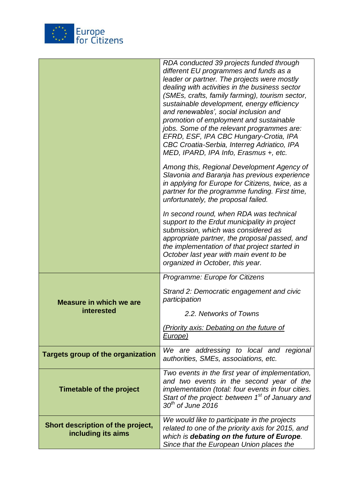

|                                                         | RDA conducted 39 projects funded through<br>different EU programmes and funds as a<br>leader or partner. The projects were mostly<br>dealing with activities in the business sector<br>(SMEs, crafts, family farming), tourism sector,<br>sustainable development, energy efficiency<br>and renewables', social inclusion and<br>promotion of employment and sustainable<br>jobs. Some of the relevant programmes are:<br>EFRD, ESF, IPA CBC Hungary-Crotia, IPA<br>CBC Croatia-Serbia, Interreg Adriatico, IPA<br>MED, IPARD, IPA Info, Erasmus +, etc. |
|---------------------------------------------------------|----------------------------------------------------------------------------------------------------------------------------------------------------------------------------------------------------------------------------------------------------------------------------------------------------------------------------------------------------------------------------------------------------------------------------------------------------------------------------------------------------------------------------------------------------------|
|                                                         | Among this, Regional Development Agency of<br>Slavonia and Baranja has previous experience<br>in applying for Europe for Citizens, twice, as a<br>partner for the programme funding. First time,<br>unfortunately, the proposal failed.                                                                                                                                                                                                                                                                                                                  |
|                                                         | In second round, when RDA was technical<br>support to the Erdut municipality in project<br>submission, which was considered as<br>appropriate partner, the proposal passed, and<br>the implementation of that project started in<br>October last year with main event to be<br>organized in October, this year.                                                                                                                                                                                                                                          |
| <b>Measure in which we are</b><br>interested            | Programme: Europe for Citizens                                                                                                                                                                                                                                                                                                                                                                                                                                                                                                                           |
|                                                         | Strand 2: Democratic engagement and civic<br>participation                                                                                                                                                                                                                                                                                                                                                                                                                                                                                               |
|                                                         | 2.2. Networks of Towns                                                                                                                                                                                                                                                                                                                                                                                                                                                                                                                                   |
|                                                         | (Priority axis: Debating on the future of<br>Europe)                                                                                                                                                                                                                                                                                                                                                                                                                                                                                                     |
| <b>Targets group of the organization</b>                | We are addressing to local and regional<br>authorities, SMEs, associations, etc.                                                                                                                                                                                                                                                                                                                                                                                                                                                                         |
| Timetable of the project                                | Two events in the first year of implementation,<br>and two events in the second year of the<br>implementation (total: four events in four cities.<br>Start of the project: between 1 <sup>st</sup> of January and<br>$30th$ of June 2016                                                                                                                                                                                                                                                                                                                 |
| Short description of the project,<br>including its aims | We would like to participate in the projects<br>related to one of the priority axis for 2015, and<br>which is debating on the future of Europe.<br>Since that the European Union places the                                                                                                                                                                                                                                                                                                                                                              |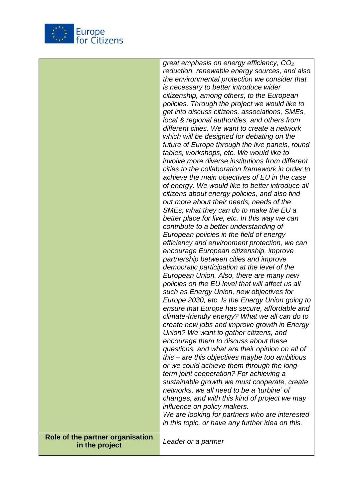